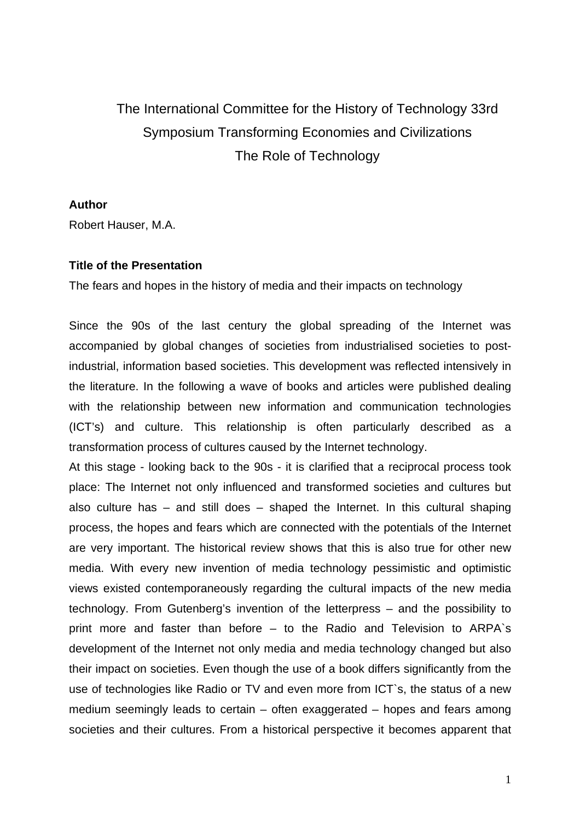# The International Committee for the History of Technology 33rd Symposium Transforming Economies and Civilizations The Role of Technology

**Author** 

Robert Hauser, M.A.

## **Title of the Presentation**

The fears and hopes in the history of media and their impacts on technology

Since the 90s of the last century the global spreading of the Internet was accompanied by global changes of societies from industrialised societies to postindustrial, information based societies. This development was reflected intensively in the literature. In the following a wave of books and articles were published dealing with the relationship between new information and communication technologies (ICT's) and culture. This relationship is often particularly described as a transformation process of cultures caused by the Internet technology.

At this stage - looking back to the 90s - it is clarified that a reciprocal process took place: The Internet not only influenced and transformed societies and cultures but also culture has – and still does – shaped the Internet. In this cultural shaping process, the hopes and fears which are connected with the potentials of the Internet are very important. The historical review shows that this is also true for other new media. With every new invention of media technology pessimistic and optimistic views existed contemporaneously regarding the cultural impacts of the new media technology. From Gutenberg's invention of the letterpress – and the possibility to print more and faster than before – to the Radio and Television to ARPA`s development of the Internet not only media and media technology changed but also their impact on societies. Even though the use of a book differs significantly from the use of technologies like Radio or TV and even more from ICT`s, the status of a new medium seemingly leads to certain – often [exaggerated](http://www.dict.cc/?s=exaggerated) – hopes and fears among societies and their cultures. From a historical perspective it becomes apparent that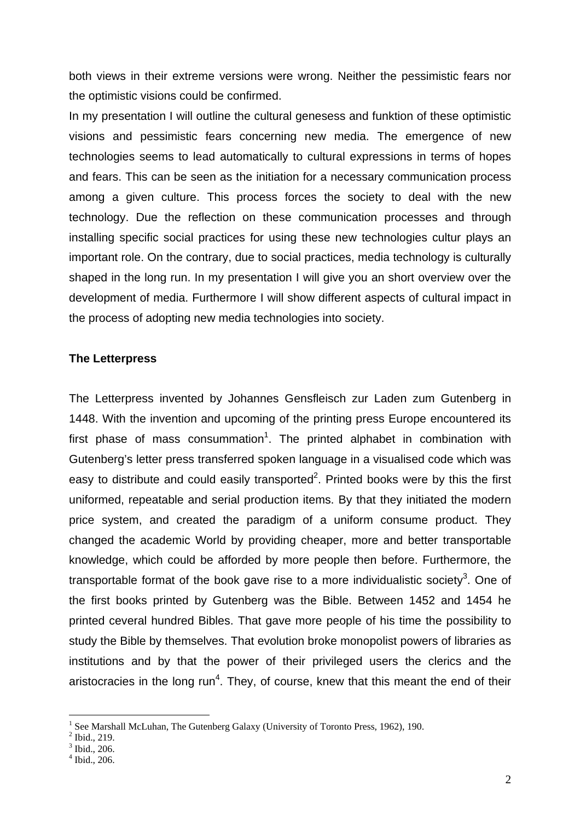both views in their extreme versions were wrong. Neither the pessimistic fears nor the optimistic visions could be confirmed.

In my presentation I will outline the cultural genesess and funktion of these optimistic visions and pessimistic fears concerning new media. The emergence of new technologies seems to lead automatically to cultural expressions in terms of hopes and fears. This can be seen as the initiation for a necessary communication process among a given culture. This process forces the society to deal with the new technology. Due the reflection on these communication processes and through installing specific social practices for using these new technologies cultur plays an important role. On the contrary, due to social practices, media technology is culturally shaped in the long run. In my presentation I will give you an short overview over the development of media. Furthermore I will show different aspects of cultural impact in the process of adopting new media technologies into society.

### **The Letterpress**

The Letterpress invented by Johannes Gensfleisch zur Laden zum Gutenberg in 1448. With the invention and upcoming of the printing press Europe encountered its first phase of mass consummation<sup>[1](#page-1-0)</sup>. The printed alphabet in combination with Gutenberg's letter press transferred spoken language in a visualised code which was easy to distribute and could easily transported $2$ . Printed books were by this the first uniformed, repeatable and serial production items. By that they initiated the modern price system, and created the paradigm of a uniform consume product. They changed the academic World by providing cheaper, more and better transportable knowledge, which could be afforded by more people then before. Furthermore, the transportable format of the book gave rise to a more individualistic society<sup>[3](#page-1-2)</sup>. One of the first books printed by Gutenberg was the Bible. Between 1452 and 1454 he printed ceveral hundred Bibles. That gave more people of his time the possibility to study the Bible by themselves. That evolution broke monopolist powers of libraries as institutions and by that the power of their privileged users the clerics and the [aristocracies](http://www2.dict.cc/?s=aristocracies) in the long run<sup>4</sup>. They, of course, knew that this meant the end of their

<span id="page-1-0"></span><sup>1</sup> See Marshall McLuhan, The Gutenberg Galaxy (University of Toronto Press, 1962), 190.

<span id="page-1-1"></span> $2$  Ibid., 219.

<span id="page-1-2"></span> $\overline{\phantom{a}^3}$  Ibid., 206.

<span id="page-1-3"></span> $4$  Ibid., 206.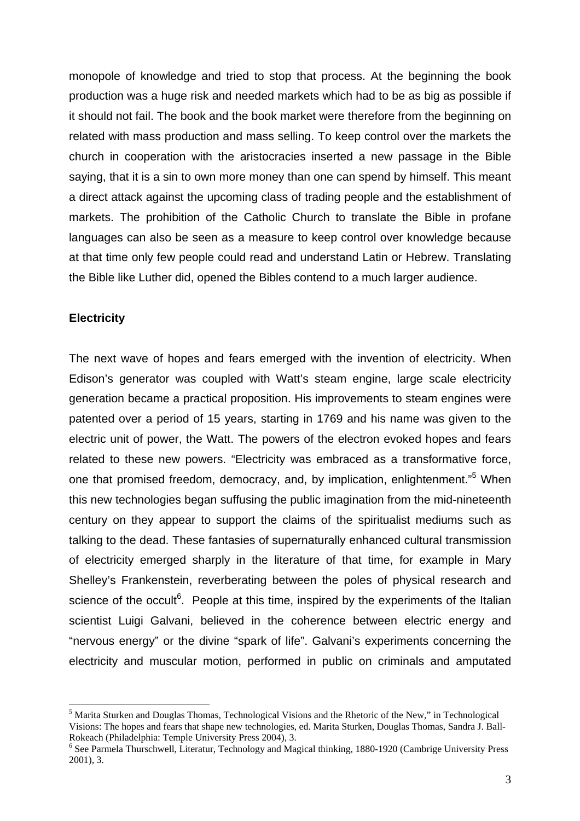monopole of knowledge and tried to stop that process. At the beginning the book production was a huge risk and needed markets which had to be as big as possible if it should not fail. The book and the book market were therefore from the beginning on related with mass production and mass selling. To keep control over the markets the church in cooperation with the aristocracies inserted a new passage in the Bible saying, that it is a sin to own more money than one can spend by himself. This meant a direct attack against the upcoming class of trading people and the establishment of markets. The prohibition of the Catholic Church to translate the Bible in profane languages can also be seen as a measure to keep control over knowledge because at that time only few people could read and understand Latin or Hebrew. Translating the Bible like Luther did, opened the Bibles contend to a much larger audience.

## **Electricity**

1

The next wave of hopes and fears emerged with the invention of electricity. When Edison's generator was coupled with Watt's steam engine, large scale electricity generation became a practical proposition. His improvements to steam engines were patented over a period of 15 years, starting in 1769 and his name was given to the electric unit of power, the Watt. The powers of the electron evoked hopes and fears related to these new powers. "Electricity was embraced as a transformative force, one that promised freedom, democracy, and, by implication, enlightenment."<sup>[5](#page-2-0)</sup> When this new technologies began suffusing the public imagination from the mid-nineteenth century on they appear to support the claims of the spiritualist mediums such as talking to the dead. These fantasies of supernaturally enhanced cultural transmission of electricity emerged sharply in the literature of that time, for example in Mary Shelley's Frankenstein, reverberating between the poles of physical research and science of the occult $6$ . People at this time, inspired by the experiments of the Italian scientist Luigi Galvani, believed in the coherence between electric energy and "nervous energy" or the divine "spark of life". Galvani's experiments concerning the electricity and muscular motion, performed in public on criminals and amputated

<span id="page-2-0"></span><sup>&</sup>lt;sup>5</sup> Marita Sturken and Douglas Thomas, Technological Visions and the Rhetoric of the New," in Technological Visions: The hopes and fears that shape new technologies, ed. Marita Sturken, Douglas Thomas, Sandra J. Ball-Rokeach (Philadelphia: Temple University Press 2004), 3.

<span id="page-2-1"></span><sup>&</sup>lt;sup>6</sup> See Parmela Thurschwell, Literatur, Technology and Magical thinking, 1880-1920 (Cambrige University Press 2001), 3.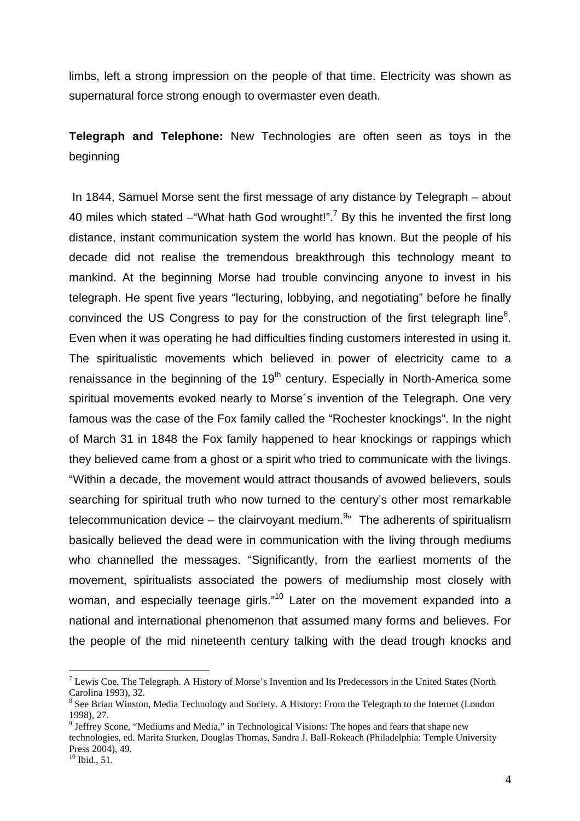limbs, left a strong impression on the people of that time. Electricity was shown as supernatural force strong enough to overmaster even death.

**Telegraph and Telephone:** New Technologies are often seen as toys in the beginning

 In [1844](http://en.wikipedia.org/wiki/1844), Samuel Morse sent the first message of any distance by Telegraph – about 40 miles which stated  $-$ "What hath God wrought!".<sup>[7](#page-3-0)</sup> By this he invented the first long distance, instant communication system the world has known. But the people of his decade did not realise the tremendous breakthrough this technology meant to mankind. At the beginning Morse had trouble convincing anyone to invest in his telegraph. He spent five years "lecturing, lobbying, and negotiating" before he finally convinced the US Congress to pay for the construction of the first telegraph line<sup>[8](#page-3-1)</sup>. Even when it was operating he had difficulties finding customers interested in using it. The spiritualistic movements which believed in power of electricity came to a renaissance in the beginning of the  $19<sup>th</sup>$  century. Especially in North-America some spiritual movements evoked nearly to Morse´s invention of the Telegraph. One very famous was the case of the Fox family called the "Rochester knockings". In the night of March 31 in 1848 the Fox family happened to hear knockings or rappings which they believed came from a ghost or a spirit who tried to communicate with the livings. "Within a decade, the movement would attract thousands of avowed believers, souls searching for spiritual truth who now turned to the century's other most remarkable telecommunication device – the clairvoyant medium.<sup>[9](#page-3-2)</sup>" The adherents of spiritualism basically believed the dead were in communication with the living through mediums who channelled the messages. "Significantly, from the earliest moments of the movement, spiritualists associated the powers of mediumship most closely with woman, and especially teenage girls."<sup>10</sup> Later on the movement expanded into a national and international phenomenon that assumed many forms and believes. For the people of the mid nineteenth century talking with the dead trough knocks and

<span id="page-3-0"></span> $<sup>7</sup>$  Lewis Coe, The Telegraph. A History of Morse's Invention and Its Predecessors in the United States (North</sup> Carolina 1993), 32.

<span id="page-3-1"></span><sup>&</sup>lt;sup>8</sup> See Brian Winston, Media Technology and Society. A History: From the Telegraph to the Internet (London 1998), 27. 9

<span id="page-3-2"></span> $9$  Jeffrey Scone, "Mediums and Media," in Technological Visions: The hopes and fears that shape new technologies, ed. Marita Sturken, Douglas Thomas, Sandra J. Ball-Rokeach (Philadelphia: Temple University Press 2004), 49.<br><sup>10</sup> Ibid., 51.

<span id="page-3-3"></span>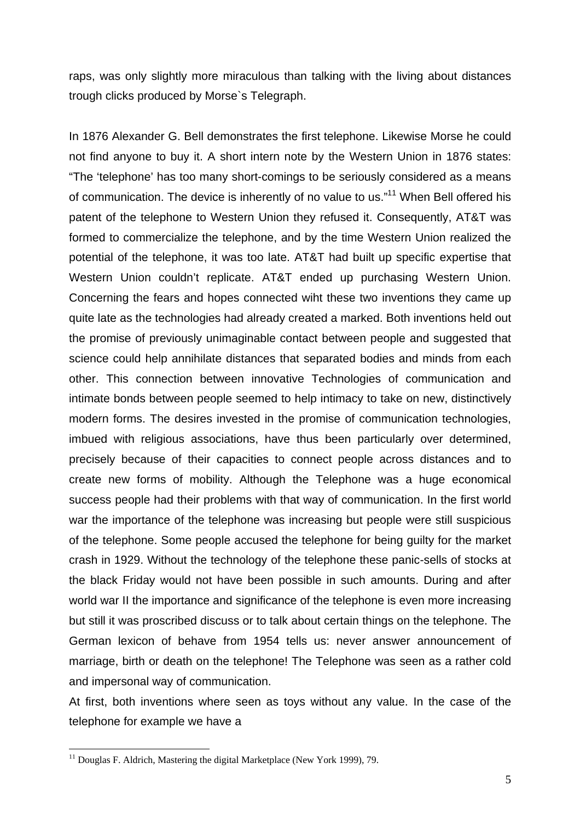raps, was only slightly more miraculous than talking with the living about distances trough clicks produced by Morse`s Telegraph.

In 1876 Alexander G. Bell demonstrates the first [telephone.](http://jefferson.village.virginia.edu/albell/homepage.html) Likewise Morse he could not find anyone to buy it. A short intern note by the Western Union in 1876 states: "The 'telephone' has too many short-comings to be seriously considered as a means of communication. The device is inherently of no value to us."<sup>11</sup> When Bell offered his patent of the telephone to Western Union they refused it. Consequently, AT&T was formed to commercialize the telephone, and by the time Western Union realized the potential of the telephone, it was too late. AT&T had built up specific expertise that Western Union couldn't replicate. AT&T ended up purchasing Western Union. Concerning the fears and hopes connected wiht these two inventions they came up quite late as the technologies had already created a marked. Both inventions held out the promise of previously unimaginable contact between people and suggested that science could help annihilate distances that separated bodies and minds from each other. This connection between innovative Technologies of communication and intimate bonds between people seemed to help intimacy to take on new, distinctively modern forms. The desires invested in the promise of communication technologies, imbued with religious associations, have thus been particularly over determined, precisely because of their capacities to connect people across distances and to create new forms of mobility. Although the Telephone was a huge economical success people had their problems with that way of communication. In the first world war the importance of the telephone was increasing but people were still suspicious of the telephone. Some people accused the telephone for being guilty for the market crash in 1929. Without the technology of the telephone these panic-sells of stocks at the black Friday would not have been possible in such amounts. During and after world war II the importance and significance of the telephone is even more increasing but still it was proscribed discuss or to talk about certain things on the telephone. The German lexicon of behave from 1954 tells us: never answer [announcement](http://www3.dict.cc/?s=announcement) [of](http://www3.dict.cc/?s=of) marriage, birth or death on the telephone! The Telephone was seen as a rather cold and impersonal way of communication.

At first, both inventions where seen as toys without any value. In the case of the telephone for example we have a

<span id="page-4-0"></span><sup>&</sup>lt;sup>11</sup> Douglas F. Aldrich, Mastering the digital Marketplace (New York 1999), 79.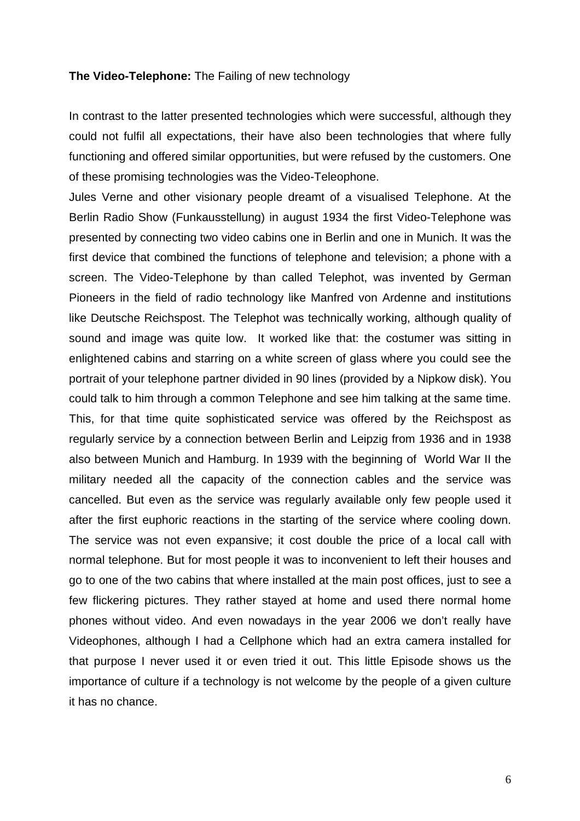#### **The Video-Telephone:** The Failing of new technology

In contrast to the latter presented technologies which were successful, although they could not fulfil all expectations, their have also been technologies that where fully functioning and offered similar opportunities, but were refused by the customers. One of these promising technologies was the Video-Teleophone.

Jules Verne and other visionary people dreamt of a visualised Telephone. At the Berlin Radio Show (Funkausstellung) in august 1934 the first Video-Telephone was presented by connecting two video cabins one in Berlin and one in Munich. It was the first device that combined the functions of telephone and television; a phone with a screen. The Video-Telephone by than called Telephot, was invented by German Pioneers in the field of radio technology like Manfred von Ardenne and institutions like Deutsche Reichspost. The Telephot was technically working, although quality of sound and image was quite low. It worked like that: the costumer was sitting in enlightened cabins and starring on a white screen of glass where you could see the portrait of your telephone partner divided in 90 lines (provided by a Nipkow disk). You could talk to him through a common Telephone and see him talking at the same time. This, for that time quite sophisticated service was offered by the Reichspost as regularly service by a connection between Berlin and Leipzig from 1936 and in 1938 also between Munich and Hamburg. In 1939 with the beginning of World War II the military needed all the capacity of the connection cables and the service was cancelled. But even as the service was regularly available only few people used it after the first euphoric reactions in the starting of the service where cooling down. The service was not even expansive; it cost double the price of a local call with normal telephone. But for most people it was to inconvenient to left their houses and go to one of the two cabins that where installed at the main post offices, just to see a few flickering pictures. They rather stayed at home and used there normal home phones without video. And even nowadays in the year 2006 we don't really have Videophones, although I had a Cellphone which had an extra camera installed for that purpose I never used it or even tried it out. This little Episode shows us the importance of culture if a technology is not welcome by the people of a given culture it has no chance.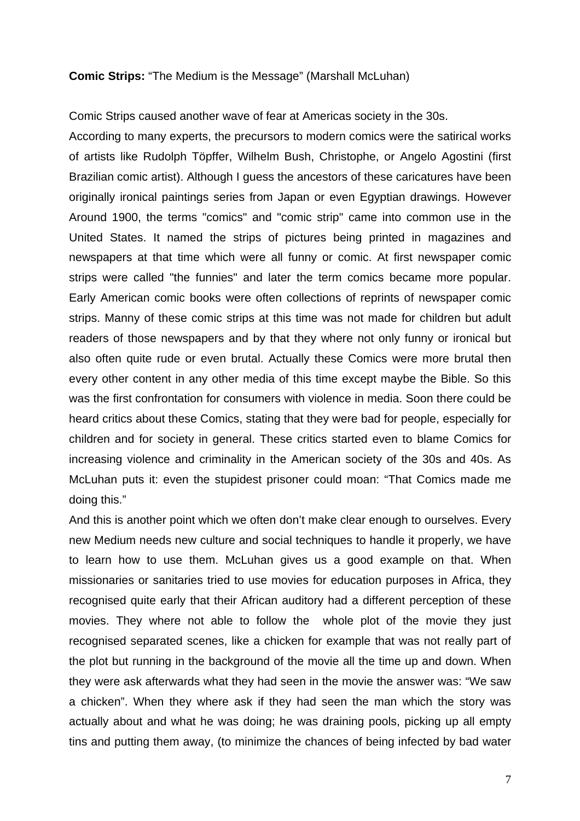## **Comic Strips:** "The Medium is the Message" (Marshall McLuhan)

Comic Strips caused another wave of fear at Americas society in the 30s.

According to many experts, the precursors to modern comics were the satirical works of artists like Rudolph Töpffer, Wilhelm Bush, [Christophe,](http://clk.about.com/?zi=1/XJ&sdn=inventors&zu=http%3A%2F%2Fwww.lambiek.net%2Fchristophe.htm) or Angelo Agostini (first Brazilian comic artist). Although I guess the ancestors of these caricatures have been originally ironical paintings series from Japan or even Egyptian drawings. However Around 1900, the terms "comics" and "comic strip" came into common use in the United States. It named the strips of pictures being printed in magazines and newspapers at that time which were all funny or comic. At first newspaper comic strips were called "the funnies" and later the term comics became more popular. Early American comic books were often collections of reprints of newspaper comic strips. Manny of these comic strips at this time was not made for children but adult readers of those newspapers and by that they where not only funny or ironical but also often quite rude or even brutal. Actually these Comics were more brutal then every other content in any other media of this time except maybe the Bible. So this was the first confrontation for consumers with violence in media. Soon there could be heard critics about these Comics, stating that they were bad for people, especially for children and for society in general. These critics started even to blame Comics for increasing violence and criminality in the American society of the 30s and 40s. As McLuhan puts it: even the stupidest prisoner could moan: "That Comics made me doing this."

And this is another point which we often don't make clear enough to ourselves. Every new Medium needs new culture and social techniques to handle it properly, we have to learn how to use them. McLuhan gives us a good example on that. When missionaries or sanitaries tried to use movies for education purposes in Africa, they recognised quite early that their African auditory had a different perception of these movies. They where not able to follow the whole plot of the movie they just recognised separated scenes, like a chicken for example that was not really part of the plot but running in the background of the movie all the time up and down. When they were ask afterwards what they had seen in the movie the answer was: "We saw a chicken". When they where ask if they had seen the man which the story was actually about and what he was doing; he was draining pools, picking up all empty tins and putting them away, (to minimize the chances of being infected by bad water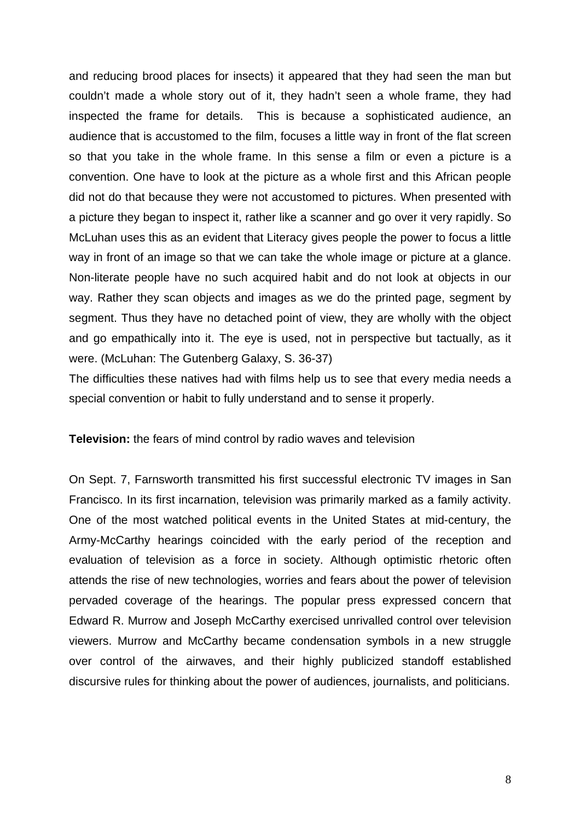and reducing brood places for insects) it appeared that they had seen the man but couldn't made a whole story out of it, they hadn't seen a whole frame, they had inspected the frame for details. This is because a sophisticated audience, an audience that is accustomed to the film, focuses a little way in front of the flat screen so that you take in the whole frame. In this sense a film or even a picture is a convention. One have to look at the picture as a whole first and this African people did not do that because they were not accustomed to pictures. When presented with a picture they began to inspect it, rather like a scanner and go over it very rapidly. So McLuhan uses this as an evident that Literacy gives people the power to focus a little way in front of an image so that we can take the whole image or picture at a glance. Non-literate people have no such acquired habit and do not look at objects in our way. Rather they scan objects and images as we do the printed page, segment by segment. Thus they have no detached point of view, they are wholly with the object and go empathically into it. The eye is used, not in perspective but tactually, as it were. (McLuhan: The Gutenberg Galaxy, S. 36-37)

The difficulties these natives had with films help us to see that every media needs a special convention or habit to fully understand and to sense it properly.

**Television:** the fears of mind control by radio waves and television

On Sept. 7, Farnsworth transmitted his first successful electronic TV images in San Francisco. In its first incarnation, television was primarily marked as a family activity. One of the most watched political events in the United States at mid-century, the Army-McCarthy hearings coincided with the early period of the reception and evaluation of television as a force in society. Although optimistic rhetoric often attends the rise of new technologies, worries and fears about the power of television pervaded coverage of the hearings. The popular press expressed concern that Edward R. Murrow and Joseph McCarthy exercised unrivalled control over television viewers. Murrow and McCarthy became condensation symbols in a new struggle over control of the airwaves, and their highly publicized standoff established discursive rules for thinking about the power of audiences, journalists, and politicians.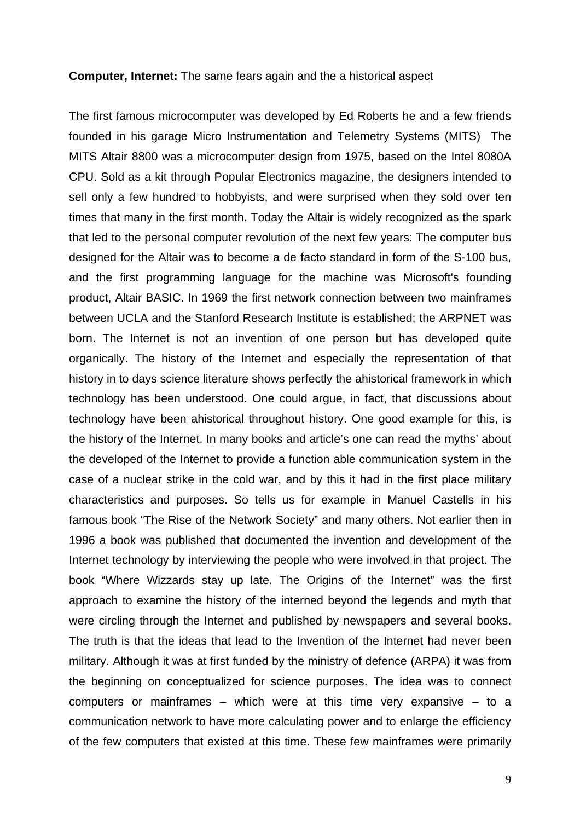#### **Computer, Internet:** The same fears again and the a historical aspect

The first famous [microcomputer](http://en.wikipedia.org/wiki/Microcomputer) was developed by [Ed Roberts](http://en.wikipedia.org/wiki/Ed_Roberts_%28computers%29) he and a few friends founded in his garage [Micro Instrumentation and Telemetry Systems](http://en.wikipedia.org/wiki/Micro_Instrumentation_and_Telemetry_Systems) [\(MITS\)](http://en.wikipedia.org/wiki/MITS) The [MITS](http://en.wikipedia.org/wiki/Micro_Instrumentation_and_Telemetry_Systems) Altair 8800 was a [microcomputer](http://en.wikipedia.org/wiki/Microcomputer) design from [1975](http://en.wikipedia.org/wiki/1975), based on the [Intel 8080A](http://en.wikipedia.org/wiki/Intel_8080) [CPU](http://en.wikipedia.org/wiki/Central_processing_unit). Sold as a kit through [Popular Electronics](http://en.wikipedia.org/wiki/Popular_Electronics) magazine, the designers intended to sell only a few hundred to hobbyists, and were surprised when they sold over ten times that many in the first month. Today the Altair is widely recognized as the spark that led to the [personal computer](http://en.wikipedia.org/wiki/Personal_computer) revolution of the next few years: The [computer bus](http://en.wikipedia.org/wiki/Computer_bus) designed for the Altair was to become a [de facto](http://en.wikipedia.org/wiki/De_facto) standard in form of the [S-100 bus](http://en.wikipedia.org/wiki/S-100_bus), and the first programming language for the machine was [Microsoft](http://en.wikipedia.org/wiki/Microsoft)'s founding product, [Altair BASIC.](http://en.wikipedia.org/wiki/Altair_BASIC) In 1969 the first network connection between two mainframes between UCLA and the Stanford Research Institute is established; the ARPNET was born. The Internet is not an invention of one person but has developed quite organically. The history of the Internet and especially the representation of that history in to days science literature shows perfectly the ahistorical framework in which technology has been understood. One could argue, in fact, that discussions about technology have been ahistorical throughout history. One good example for this, is the history of the Internet. In many books and article's one can read the myths' about the developed of the Internet to provide a function able communication system in the case of a nuclear strike in the cold war, and by this it had in the first place military characteristics and purposes. So tells us for example in Manuel Castells in his famous book "The Rise of the Network Society" and many others. Not earlier then in 1996 a book was published that documented the invention and development of the Internet technology by interviewing the people who were involved in that project. The book "Where Wizzards stay up late. The Origins of the Internet" was the first approach to examine the history of the interned beyond the legends and myth that were circling through the Internet and published by newspapers and several books. The truth is that the ideas that lead to the Invention of the Internet had never been military. Although it was at first funded by the ministry of defence (ARPA) it was from the beginning on conceptualized for science purposes. The idea was to connect computers or mainframes – which were at this time very expansive – to a communication network to have more calculating power and to enlarge the efficiency of the few computers that existed at this time. These few mainframes were primarily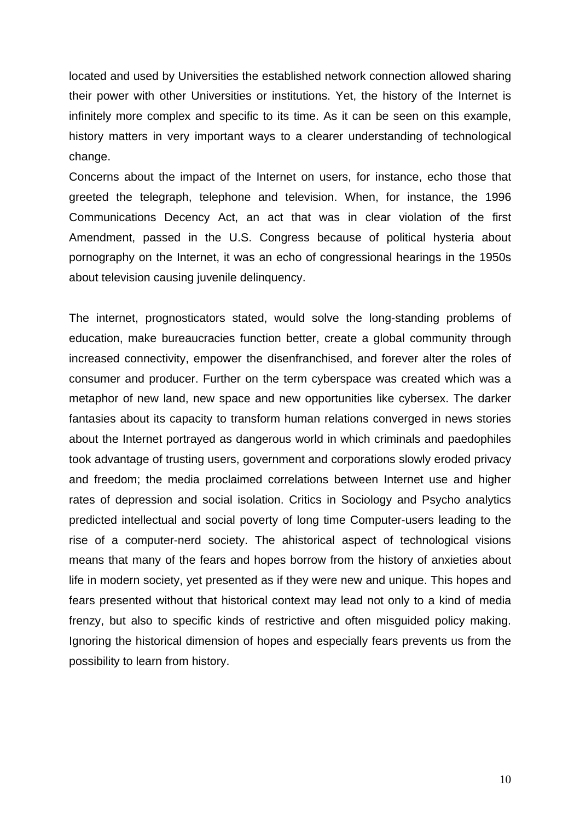located and used by Universities the established network connection allowed sharing their power with other Universities or institutions. Yet, the history of the Internet is infinitely more complex and specific to its time. As it can be seen on this example, history matters in very important ways to a clearer understanding of technological change.

Concerns about the impact of the Internet on users, for instance, echo those that greeted the telegraph, telephone and television. When, for instance, the 1996 Communications Decency Act, an act that was in clear violation of the first Amendment, passed in the U.S. Congress because of political hysteria about pornography on the Internet, it was an echo of congressional hearings in the 1950s about television causing juvenile delinquency.

The internet, prognosticators stated, would solve the long-standing problems of education, make bureaucracies function better, create a global community through increased connectivity, empower the disenfranchised, and forever alter the roles of consumer and producer. Further on the term cyberspace was created which was a metaphor of new land, new space and new opportunities like cybersex. The darker fantasies about its capacity to transform human relations converged in news stories about the Internet portrayed as dangerous world in which criminals and paedophiles took advantage of trusting users, government and corporations slowly eroded privacy and freedom; the media proclaimed correlations between Internet use and higher rates of depression and social isolation. Critics in Sociology and Psycho analytics predicted intellectual and social poverty of long time Computer-users leading to the rise of a computer-nerd society. The ahistorical aspect of technological visions means that many of the fears and hopes borrow from the history of anxieties about life in modern society, yet presented as if they were new and unique. This hopes and fears presented without that historical context may lead not only to a kind of media frenzy, but also to specific kinds of restrictive and often misguided policy making. Ignoring the historical dimension of hopes and especially fears prevents us from the possibility to learn from history.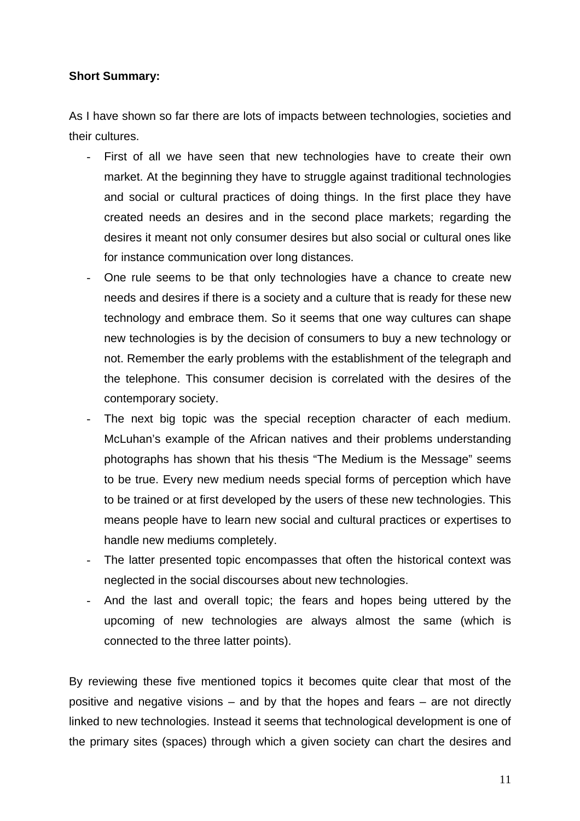## **Short Summary:**

As I have shown so far there are lots of impacts between technologies, societies and their cultures.

- First of all we have seen that new technologies have to create their own market. At the beginning they have to struggle against traditional technologies and social or cultural practices of doing things. In the first place they have created needs an desires and in the second place markets; regarding the desires it meant not only consumer desires but also social or cultural ones like for instance communication over long distances.
- One rule seems to be that only technologies have a chance to create new needs and desires if there is a society and a culture that is ready for these new technology and embrace them. So it seems that one way cultures can shape new technologies is by the decision of consumers to buy a new technology or not. Remember the early problems with the establishment of the telegraph and the telephone. This consumer decision is correlated with the desires of the contemporary society.
- The next big topic was the special reception character of each medium. McLuhan's example of the African natives and their problems understanding photographs has shown that his thesis "The Medium is the Message" seems to be true. Every new medium needs special forms of perception which have to be trained or at first developed by the users of these new technologies. This means people have to learn new social and cultural practices or expertises to handle new mediums completely.
- The latter presented topic encompasses that often the historical context was neglected in the social discourses about new technologies.
- And the last and overall topic; the fears and hopes being uttered by the upcoming of new technologies are always almost the same (which is connected to the three latter points).

By reviewing these five mentioned topics it becomes quite clear that most of the positive and negative visions – and by that the hopes and fears – are not directly linked to new technologies. Instead it seems that technological development is one of the primary sites (spaces) through which a given society can chart the desires and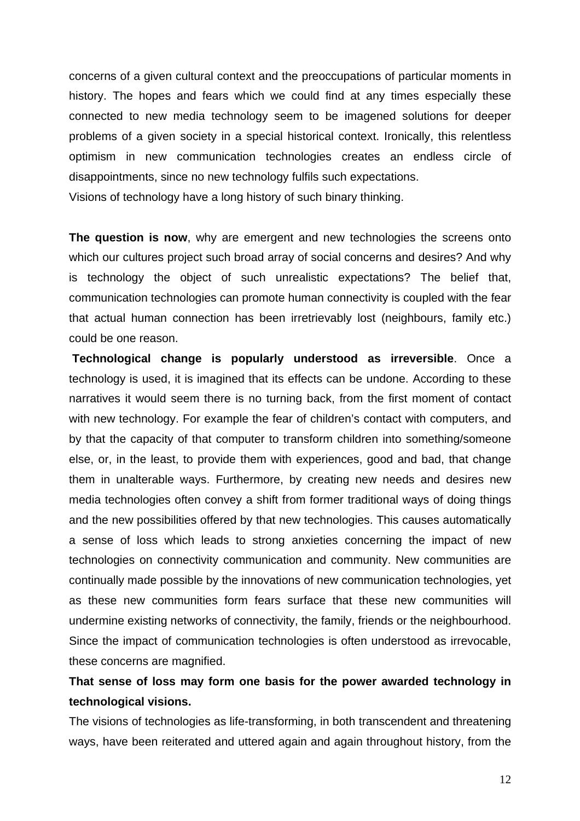concerns of a given cultural context and the preoccupations of particular moments in history. The hopes and fears which we could find at any times especially these connected to new media technology seem to be imagened solutions for deeper problems of a given society in a special historical context. Ironically, this relentless optimism in new communication technologies creates an endless circle of disappointments, since no new technology fulfils such expectations.

Visions of technology have a long history of such binary thinking.

**The question is now**, why are emergent and new technologies the screens onto which our cultures project such broad array of social concerns and desires? And why is technology the object of such unrealistic expectations? The belief that, communication technologies can promote human connectivity is coupled with the fear that actual human connection has been irretrievably lost (neighbours, family etc.) could be one reason.

**Technological change is popularly understood as irreversible**. Once a technology is used, it is imagined that its effects can be undone. According to these narratives it would seem there is no turning back, from the first moment of contact with new technology. For example the fear of children's contact with computers, and by that the capacity of that computer to transform children into something/someone else, or, in the least, to provide them with experiences, good and bad, that change them in unalterable ways. Furthermore, by creating new needs and desires new media technologies often convey a shift from former traditional ways of doing things and the new possibilities offered by that new technologies. This causes automatically a sense of loss which leads to strong anxieties concerning the impact of new technologies on connectivity communication and community. New communities are continually made possible by the innovations of new communication technologies, yet as these new communities form fears surface that these new communities will undermine existing networks of connectivity, the family, friends or the neighbourhood. Since the impact of communication technologies is often understood as irrevocable, these concerns are magnified.

## **That sense of loss may form one basis for the power awarded technology in technological visions.**

The visions of technologies as life-transforming, in both transcendent and threatening ways, have been reiterated and uttered again and again throughout history, from the